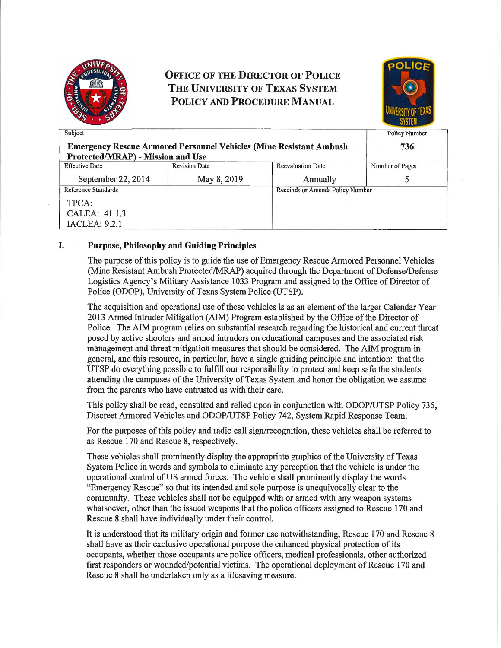

# **OFFICE OF THE DIRECTOR OF POLICE THE UNIVERSITY OF TEXAS SYSTEM POLICY AND PROCEDURE MANUAL**



| Subject                                                                   |                      |                                  | Policy Number   |
|---------------------------------------------------------------------------|----------------------|----------------------------------|-----------------|
| <b>Emergency Rescue Armored Personnel Vehicles (Mine Resistant Ambush</b> |                      |                                  | 736             |
| Protected/MRAP) - Mission and Use                                         |                      |                                  |                 |
| <b>Effective Date</b>                                                     | <b>Revision Date</b> | <b>Reevaluation Date</b>         | Number of Pages |
| September 22, 2014                                                        | May 8, 2019          | Annually                         |                 |
| Reference Standards                                                       |                      | Rescinds or Amends Policy Number |                 |
| TPCA:                                                                     |                      |                                  |                 |
| CALEA: 41.1.3                                                             |                      |                                  |                 |
| <b>IACLEA: 9.2.1</b>                                                      |                      |                                  |                 |

#### I. **Purpose, Philosophy and Guiding Principles**

The purpose of this policy is to guide the use of Emergency Rescue Armored Personnel Vehicles (Mine Resistant Ambush Protected/MRAP) acquired through the Department of Defense/Defense Logistics Agency's Military Assistance 1033 Program and assigned to the Office of Director of Police (ODOP), University of Texas System Police (UTSP).

The acquisition and operational use of these vehicles is as an element of the larger Calendar Year 2013 Armed Intruder Mitigation (AIM) Program established by the Office of the Director of Police. The AIM program relies on substantial research regarding the historical and current threat posed by active shooters and armed intruders on educational campuses and the associated risk management and threat mitigation measures that should be considered. The AIM program in general, and this resource, in particular, have a single guiding principle and intention: that the UTSP do everything possible to fulfill our responsibility to protect and keep safe the students attending the campuses of the University of Texas System and honor the obligation we assume from the parents who have entrusted us with their care.

This policy shall be read, consulted and relied upon in conjunction with ODOP/UTSP Policy 735, Discreet Armored Vehicles and ODOP/UTSP Policy 742, System Rapid Response Team.

For the purposes of this policy and radio call sign/recognition, these vehicles shall be referred to as Rescue 170 and Rescue 8, respectively.

These vehicles shall prominently display the appropriate graphics of the University of Texas System Police in words and symbols to eliminate any perception that the vehicle is under the operational control of US armed forces. The vehicle shall prominently display the words "Emergency Rescue" so that its intended and sole purpose is unequivocally clear to the community. These vehicles shall not be equipped with or armed with any weapon systems whatsoever, other than the issued weapons that the police officers assigned to Rescue 170 and Rescue 8 shall have individually under their control.

It is understood that its military origin and former use notwithstanding, Rescue 170 and Rescue 8 shall have as their exclusive operational purpose the enhanced physical protection of its occupants, whether those occupants are police officers, medical professionals, other authorized first responders or wounded/potential victims. The operational deployment of Rescue 170 and Rescue 8 shall be undertaken only as a lifesaving measure.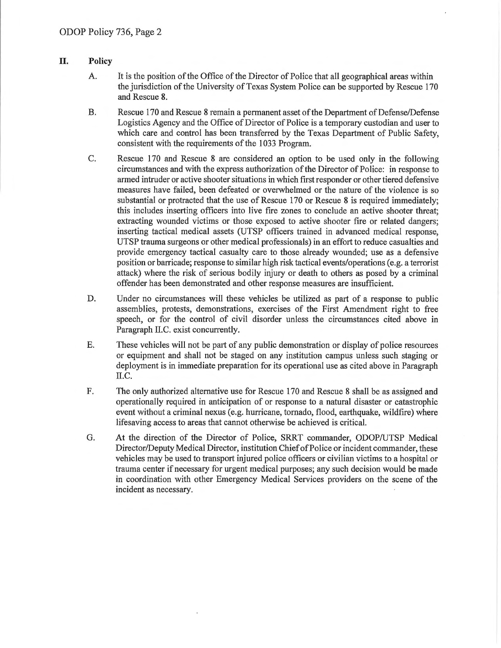#### **II. Policy**

- A. It is the position of the Office of the Director of Police that all geographical areas within the jurisdiction of the University of Texas System Police can be supported by Rescue 170 and Rescue 8.
- B. Rescue 170 and Rescue 8 remain a permanent asset of the Depattment of Defense/Defense Logistics Agency and the Office of Director of Police is a temporary custodian and user to which care and control has been transferred by the Texas Depattment of Public Safety, consistent with the requirements of the 1033 Program.
- C. Rescue 170 and Rescue 8 are considered an option to be used only in the following circumstances and with the express authorization of the Director of Police: in response to armed intruder or active shooter situations in which first responder or other tiered defensive measures have failed, been defeated or overwhelmed or the nature of the violence is so substantial or protracted that the use of Rescue 170 or Rescue 8 is required immediately; this includes insetting officers into live fire zones to conclude an active shooter threat; extracting wounded victims or those exposed to active shooter fire or related dangers; inserting tactical medical assets (UTSP officers trained in advanced medical response, UTSP trauma surgeons or other medical professionals) in an effort to reduce casualties and provide emergency tactical casualty care to those already wounded; use as a defensive position or barricade; response to similar high risk tactical events/operations ( e.g. a terrorist attack) where the risk of serious bodily injury or death to others as posed by a criminal offender has been demonstrated and other response measures are insufficient.
- D. Under no circumstances will these vehicles be utilized as part of a response to public assemblies, protests, demonstrations, exercises of the First Amendment right to free speech, or for the control of civil disorder unless the circumstances cited above in Paragraph II.C. exist concurrently.
- E. These vehicles will not be part of any public demonstration or display of police resources or equipment and shall not be staged on any institution campus unless such staging or deployment is in immediate preparation for its operational use as cited above in Paragraph II.C.
- F. The only authorized alternative use for Rescue 170 and Rescue 8 shall be as assigned and operationally required in anticipation of or response to a natural disaster or catastrophic event without a criminal nexus (e.g. hurricane, tornado, flood, eatthquake, wildfire) where lifesaving access to areas that cannot otherwise be achieved is critical.
- G. At the direction of the Director of Police, SRRT commander, ODOP/UTSP Medical Director/Deputy Medical Director, institution Chief of Police or incident commander, these vehicles may be used to transport injured police officers or civilian victims to a hospital or trauma center if necessary for urgent medical purposes; any such decision would be made in coordination with other Emergency Medical Services providers on the scene of the incident as necessary.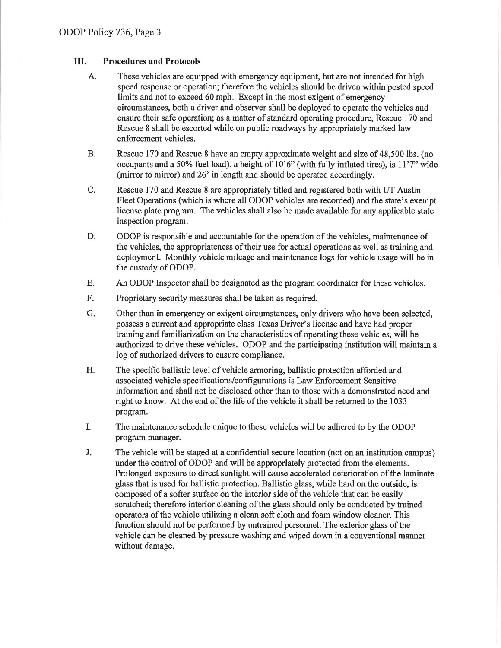### **III. Procedures and Protocols**

- A. These vehicles are equipped with emergency equipment, but are not intended for high speed response or operation; therefore the vehicles should be driven within posted speed limits and not to exceed 60 mph. Except in the most exigent of emergency circumstances, both a driver and observer shall be deployed to operate the vehicles and ensure their safe operation; as a matter of standard operating procedure, Rescue 170 and Rescue 8 shall be escorted while on public roadways by appropriately marked law enforcement vehicles.
- B. Rescue 170 and Rescue 8 have an empty approximate weight and size of 48,500 lbs. (no occupants and a 50% fuel load), a height of  $10^{\circ}6$ " (with fully inflated tires), is  $11'7"$  wide (mirror to mirror) and 26' in length and should be operated accordingly.
- C. Rescue 170 and Rescue 8 are appropriately titled and registered both with UT Austin Fleet Operations (which is where all ODOP vehicles are recorded) and the state's exempt license plate program. The vehicles shall also be made available for any applicable state inspection program.
- D. ODOP is responsible and accountable for the operation of the vehicles, maintenance of the vehicles, the appropriateness of their use for actual operations as well as training and deployment. Monthly vehicle mileage and maintenance logs for vehicle usage will be in the custody of ODOP.
- E. An ODOP Inspector shall be designated as the program coordinator for these vehicles.
- F. Proprietary security measures shall be taken as required.
- G. Other than in emergency or exigent circumstances, only drivers who have been selected, possess a current and appropriate class Texas Driver's license and have had proper training and familiarization on the characteristics of operating these vehicles, will be authorized to drive these vehicles. ODOP and the participating institution will maintain a log of authorized drivers to ensure compliance.
- H. The specific ballistic level of vehicle armoring, ballistic protection afforded and associated vehicle specifications/configurations is Law Enforcement Sensitive information and shall not be disclosed other than to those with a demonstrated need and right to know. At the end of the life of the vehicle it shall be returned to the 1033 program.
- I. The maintenance schedule unique to these vehicles will be adhered to by the ODOP program manager.
- J. The vehicle will be staged at a confidential secure location (not on an institution campus) under the control of ODOP and will be appropriately protected from the elements. Prolonged exposure to direct sunlight will cause accelerated deterioration of the laminate glass that is used for ballistic protection. Ballistic glass, while hard on the outside, is composed of a softer surface on the interior side of the vehicle that can be easily scratched; therefore interior cleaning of the glass should only be conducted by trained operators of the vehicle utilizing a clean soft cloth and foam window cleaner. This function should not be performed by untrained personnel. The exterior glass of the vehicle can be cleaned by pressure washing and wiped down in a conventional manner without damage.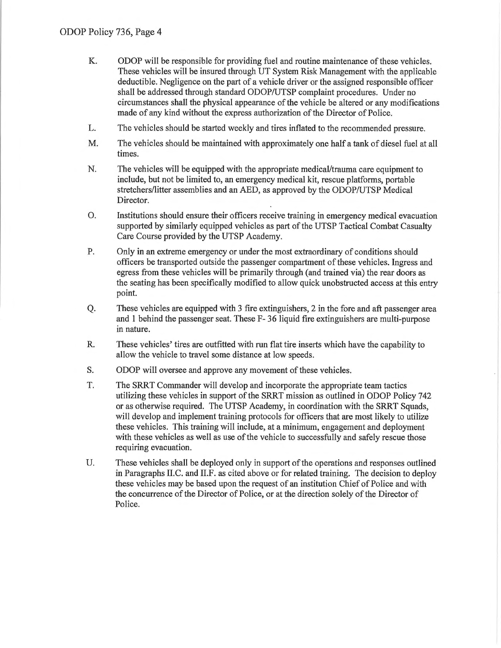- K. ODOP will be responsible for providing fuel and routine maintenance of these vehicles. These vehicles will be insured through UT System Risk Management with the applicable deductible. Negligence on the part of a vehicle driver or the assigned responsible officer shall be addressed through standard ODOP/UTSP complaint procedures. Under no circumstances shall the physical appearance of the vehicle be altered or any modifications made of any kind without the express authorization of the Director of Police.
- L. The vehicles should be started weekly and tires inflated to the recommended pressure.
- M. The vehicles should be maintained with approximately one half a tank of diesel fuel at all times.
- N. The vehicles will be equipped with the appropriate medical/trauma care equipment to include, but not be limited to, an emergency medical kit, rescue platforms, portable stretchers/litter assemblies and an AED, as approved by the ODOP/UTSP Medical Director.
- 0. Institutions should ensure their officers receive training in emergency medical evacuation supported by similarly equipped vehicles as part of the UTSP Tactical Combat Casualty Care Course provided by the UTSP Academy.
- P. Only in an extreme emergency or under the most extraordinary of conditions should officers be transported outside the passenger compartment of these vehicles. Ingress and egress from these vehicles will be primarily through (and trained via) the rear doors as the seating has been specifically modified to allow quick unobstructed access at this entry point.
- Q. These vehicles are equipped with 3 fire extinguishers, 2 in the fore and aft passenger area and I behind the passenger seat. These F- 36 liquid fire extinguishers are multi-purpose in nature.
- R. These vehicles' tires are outfitted with run flat tire inserts which have the capability to allow the vehicle to travel some distance at low speeds.
- S. ODOP will oversee and approve any movement of these vehicles.
- T. The SRRT Commander will develop and incorporate the appropriate team tactics utilizing these vehicles in support of the SRRT mission as outlined in ODOP Policy 742 or as otherwise required. The UTSP Academy, in coordination with the SRRT Squads, will develop and implement training protocols for officers that are most likely to utilize these vehicles. This training will include, at a minimum, engagement and deployment with these vehicles as well as use of the vehicle to successfully and safely rescue those requiring evacuation.
- U. These vehicles shall be deployed only in support of the operations and responses outlined in Paragraphs II.C. and II.F. as cited above or for related training. The decision to deploy these vehicles may be based upon the request of an institution Chief of Police and with the concurrence of the Director of Police, or at the direction solely of the Director of Police.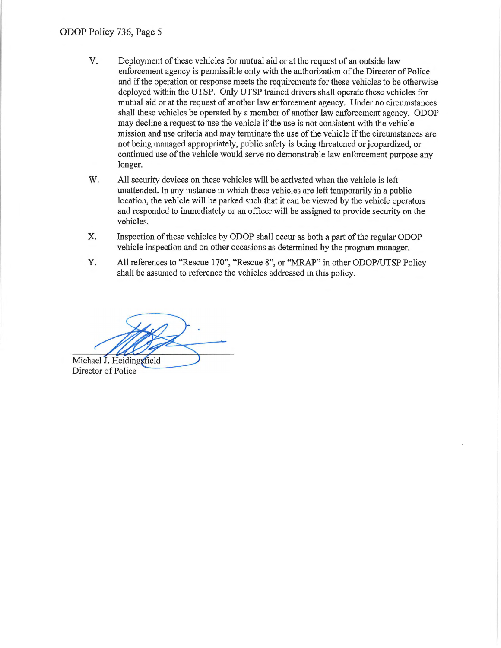- V. Deployment of these vehicles for mutual aid or at the request of an outside law enforcement agency is permissible only with the authorization of the Director of Police and if the operation or response meets the requirements for these vehicles to be otherwise deployed within the UTSP. Only UTSP trained drivers shall operate these vehicles for mutual aid or at the request of another law enforcement agency. Under no circumstances shall these vehicles be operated by a member of another law enforcement agency. ODOP may decline a request to use the vehicle if the use is not consistent with the vehicle mission and use criteria and may terminate the use of the vehicle if the circumstances are not being managed appropriately, public safety is being threatened or jeopardized, or continued use of the vehicle would serve no demonstrable law enforcement purpose any longer.
- W. All security devices on these vehicles will be activated when the vehicle is left unattended. In any instance in which these vehicles are left temporarily in a public location, the vehicle will be parked such that it can be viewed by the vehicle operators and responded to immediately or an officer will be assigned to provide security on the vehicles.
- X. Inspection of these vehicles by ODOP shall occur as both a part of the regular ODOP vehicle inspection and on other occasions as determined by the program manager.
- Y. All references to "Rescue 170", "Rescue 8", or "MRAP" in other ODOP/UTSP Policy shall be assumed to reference the vehicles addressed in this policy.

Michael J. Heidingsfield

Director of Police